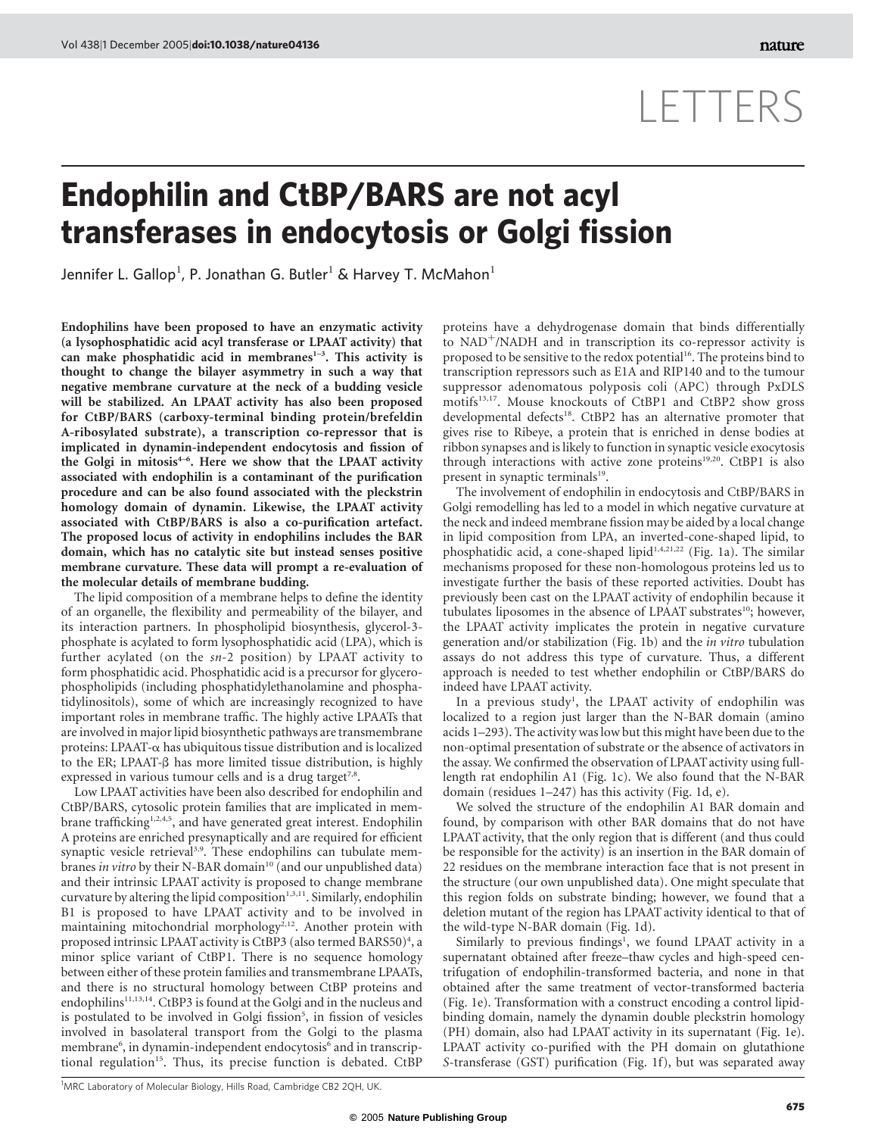## LETTERS

## Endophilin and CtBP/BARS are not acyl transferases in endocytosis or Golgi fission

Jennifer L. Gallop<sup>1</sup>, P. Jonathan G. Butler<sup>1</sup> & Harvey T. McMahon<sup>1</sup>

Endophilins have been proposed to have an enzymatic activity (a lysophosphatidic acid acyl transferase or LPAAT activity) that can make phosphatidic acid in membranes<sup>1-3</sup>. This activity is thought to change the bilayer asymmetry in such a way that negative membrane curvature at the neck of a budding vesicle will be stabilized. An LPAAT activity has also been proposed for CtBP/BARS (carboxy-terminal binding protein/brefeldin A-ribosylated substrate), a transcription co-repressor that is implicated in dynamin-independent endocytosis and fission of the Golgi in mitosis<sup>4-6</sup>. Here we show that the LPAAT activity associated with endophilin is a contaminant of the purification procedure and can be also found associated with the pleckstrin homology domain of dynamin. Likewise, the LPAAT activity associated with CtBP/BARS is also a co-purification artefact. The proposed locus of activity in endophilins includes the BAR domain, which has no catalytic site but instead senses positive membrane curvature. These data will prompt a re-evaluation of the molecular details of membrane budding.

The lipid composition of a membrane helps to define the identity of an organelle, the flexibility and permeability of the bilayer, and its interaction partners. In phospholipid biosynthesis, glycerol-3 phosphate is acylated to form lysophosphatidic acid (LPA), which is further acylated (on the  $sn-2$  position) by LPAAT activity to form phosphatidic acid. Phosphatidic acid is a precursor for glycerophospholipids (including phosphatidylethanolamine and phosphatidylinositols), some of which are increasingly recognized to have important roles in membrane traffic. The highly active LPAATs that are involved in major lipid biosynthetic pathways are transmembrane proteins: LPAAT- $\alpha$  has ubiquitous tissue distribution and is localized to the ER; LPAAT- $\beta$  has more limited tissue distribution, is highly expressed in various tumour cells and is a drug target<sup>7,8</sup>.

Low LPAAT activities have been also described for endophilin and CtBP/BARS, cytosolic protein families that are implicated in membrane trafficking<sup>1,2,4,5</sup>, and have generated great interest. Endophilin A proteins are enriched presynaptically and are required for efficient synaptic vesicle retrieval<sup>3,9</sup>. These endophilins can tubulate membranes in vitro by their N-BAR domain<sup>10</sup> (and our unpublished data) and their intrinsic LPAAT activity is proposed to change membrane curvature by altering the lipid composition $1,3,11$ . Similarly, endophilin B1 is proposed to have LPAAT activity and to be involved in maintaining mitochondrial morphology<sup>2,12</sup>. Another protein with proposed intrinsic LPAAT activity is CtBP3 (also termed BARS50)<sup>4</sup>, a minor splice variant of CtBP1. There is no sequence homology between either of these protein families and transmembrane LPAATs, and there is no structural homology between CtBP proteins and  $endophilins<sup>11,13,14</sup>$ . CtBP3 is found at the Golgi and in the nucleus and is postulated to be involved in Golgi fission<sup>5</sup>, in fission of vesicles involved in basolateral transport from the Golgi to the plasma membrane<sup>6</sup>, in dynamin-independent endocytosis<sup>6</sup> and in transcriptional regulation<sup>15</sup>. Thus, its precise function is debated. CtBP

proteins have a dehydrogenase domain that binds differentially to  $NAD^+/NADH$  and in transcription its co-repressor activity is proposed to be sensitive to the redox potential<sup>16</sup>. The proteins bind to transcription repressors such as E1A and RIP140 and to the tumour suppressor adenomatous polyposis coli (APC) through PxDLS motifs<sup>13,17</sup>. Mouse knockouts of CtBP1 and CtBP2 show gross developmental defects<sup>18</sup>. CtBP2 has an alternative promoter that gives rise to Ribeye, a protein that is enriched in dense bodies at ribbon synapses and is likely to function in synaptic vesicle exocytosis through interactions with active zone proteins<sup>19,20</sup>. CtBP1 is also present in synaptic terminals<sup>19</sup>.

The involvement of endophilin in endocytosis and CtBP/BARS in Golgi remodelling has led to a model in which negative curvature at the neck and indeed membrane fission may be aided by a local change in lipid composition from LPA, an inverted-cone-shaped lipid, to phosphatidic acid, a cone-shaped lipid<sup>1,4,21,22</sup> (Fig. 1a). The similar mechanisms proposed for these non-homologous proteins led us to investigate further the basis of these reported activities. Doubt has previously been cast on the LPAAT activity of endophilin because it tubulates liposomes in the absence of LPAAT substrates<sup>10</sup>; however, the LPAAT activity implicates the protein in negative curvature generation and/or stabilization (Fig. 1b) and the in vitro tubulation assays do not address this type of curvature. Thus, a different approach is needed to test whether endophilin or CtBP/BARS do indeed have LPAAT activity.

In a previous study<sup>1</sup>, the LPAAT activity of endophilin was localized to a region just larger than the N-BAR domain (amino acids 1–293). The activity was low but this might have been due to the non-optimal presentation of substrate or the absence of activators in the assay. We confirmed the observation of LPAATactivity using fulllength rat endophilin A1 (Fig. 1c). We also found that the N-BAR domain (residues 1–247) has this activity (Fig. 1d, e).

We solved the structure of the endophilin A1 BAR domain and found, by comparison with other BAR domains that do not have LPAAT activity, that the only region that is different (and thus could be responsible for the activity) is an insertion in the BAR domain of 22 residues on the membrane interaction face that is not present in the structure (our own unpublished data). One might speculate that this region folds on substrate binding; however, we found that a deletion mutant of the region has LPAAT activity identical to that of the wild-type N-BAR domain (Fig. 1d).

Similarly to previous findings<sup>1</sup>, we found LPAAT activity in a supernatant obtained after freeze–thaw cycles and high-speed centrifugation of endophilin-transformed bacteria, and none in that obtained after the same treatment of vector-transformed bacteria (Fig. 1e). Transformation with a construct encoding a control lipidbinding domain, namely the dynamin double pleckstrin homology (PH) domain, also had LPAAT activity in its supernatant (Fig. 1e). LPAAT activity co-purified with the PH domain on glutathione S-transferase (GST) purification (Fig. 1f), but was separated away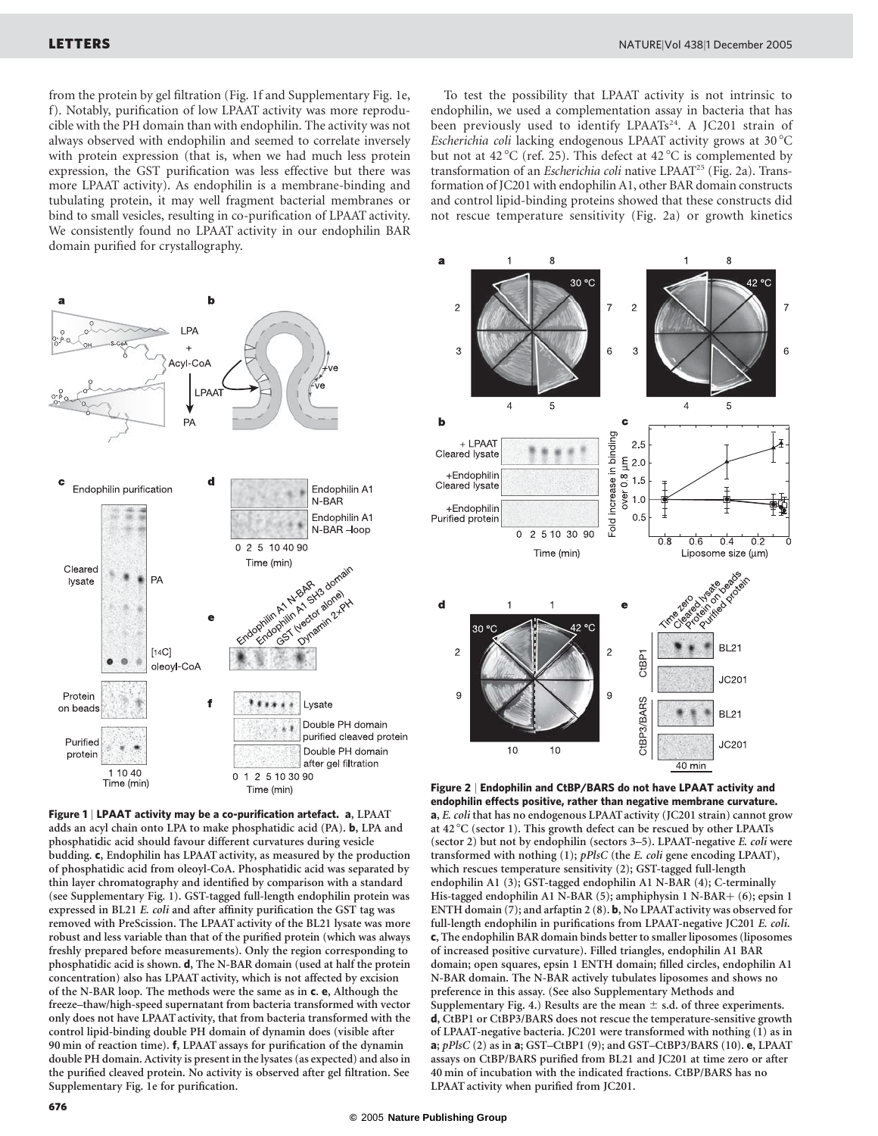from the protein by gel filtration (Fig. 1f and Supplementary Fig. 1e, f). Notably, purification of low LPAAT activity was more reproducible with the PH domain than with endophilin. The activity was not always observed with endophilin and seemed to correlate inversely with protein expression (that is, when we had much less protein expression, the GST purification was less effective but there was more LPAAT activity). As endophilin is a membrane-binding and tubulating protein, it may well fragment bacterial membranes or bind to small vesicles, resulting in co-purification of LPAAT activity. We consistently found no LPAAT activity in our endophilin BAR domain purified for crystallography.





Figure 1 | LPAAT activity may be a co-purification artefact. a, LPAAT adds an acyl chain onto LPA to make phosphatidic acid (PA). b, LPA and phosphatidic acid should favour different curvatures during vesicle budding. c, Endophilin has LPAAT activity, as measured by the production of phosphatidic acid from oleoyl-CoA. Phosphatidic acid was separated by thin layer chromatography and identified by comparison with a standard (see Supplementary Fig. 1). GST-tagged full-length endophilin protein was expressed in BL21 E. coli and after affinity purification the GST tag was removed with PreScission. The LPAAT activity of the BL21 lysate was more robust and less variable than that of the purified protein (which was always freshly prepared before measurements). Only the region corresponding to phosphatidic acid is shown. d, The N-BAR domain (used at half the protein concentration) also has LPAAT activity, which is not affected by excision of the N-BAR loop. The methods were the same as in c. e, Although the freeze–thaw/high-speed supernatant from bacteria transformed with vector only does not have LPAAT activity, that from bacteria transformed with the control lipid-binding double PH domain of dynamin does (visible after 90 min of reaction time). f, LPAAT assays for purification of the dynamin double PH domain. Activity is present in the lysates (as expected) and also in the purified cleaved protein. No activity is observed after gel filtration. See Supplementary Fig. 1e for purification.



Figure 2 | Endophilin and CtBP/BARS do not have LPAAT activity and endophilin effects positive, rather than negative membrane curvature. a, E. coli that has no endogenous LPAATactivity (JC201 strain) cannot grow at 42 $^{\circ}$ C (sector 1). This growth defect can be rescued by other LPAATs (sector 2) but not by endophilin (sectors 3–5). LPAAT-negative E. coli were transformed with nothing (1); pPlsC (the E. coli gene encoding LPAAT), which rescues temperature sensitivity (2); GST-tagged full-length endophilin A1 (3); GST-tagged endophilin A1 N-BAR (4); C-terminally His-tagged endophilin A1 N-BAR (5); amphiphysin 1 N-BAR+ (6); epsin 1 ENTH domain (7); and arfaptin 2 (8). b, No LPAATactivity was observed for full-length endophilin in purifications from LPAAT-negative JC201 E. coli. c, The endophilin BAR domain binds better to smaller liposomes (liposomes of increased positive curvature). Filled triangles, endophilin A1 BAR domain; open squares, epsin 1 ENTH domain; filled circles, endophilin A1 N-BAR domain. The N-BAR actively tubulates liposomes and shows no preference in this assay. (See also Supplementary Methods and Supplementary Fig. 4.) Results are the mean  $\pm$  s.d. of three experiments. d, CtBP1 or CtBP3/BARS does not rescue the temperature-sensitive growth of LPAAT-negative bacteria. JC201 were transformed with nothing (1) as in a;  $pPlsC(2)$  as in a; GST-CtBP1 (9); and GST-CtBP3/BARS (10). e, LPAAT assays on CtBP/BARS purified from BL21 and JC201 at time zero or after 40 min of incubation with the indicated fractions. CtBP/BARS has no LPAAT activity when purified from JC201.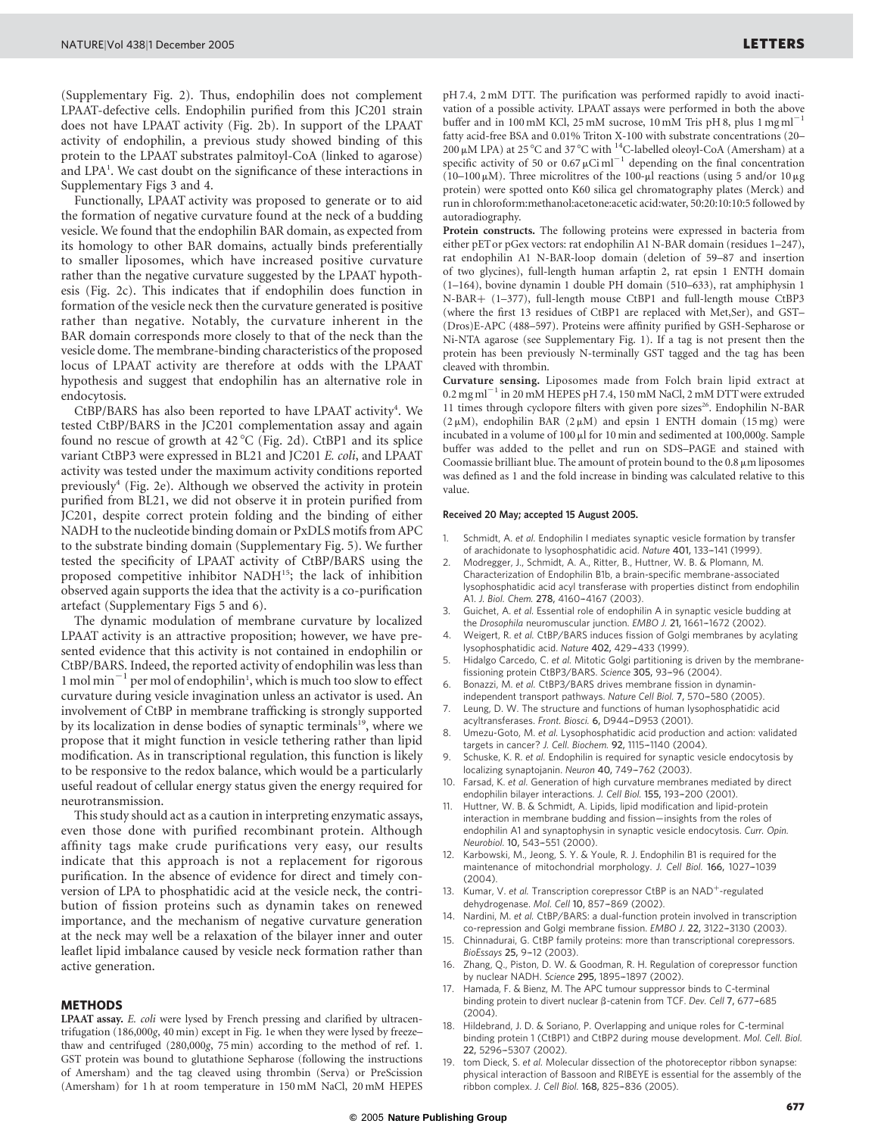(Supplementary Fig. 2). Thus, endophilin does not complement LPAAT-defective cells. Endophilin purified from this JC201 strain does not have LPAAT activity (Fig. 2b). In support of the LPAAT activity of endophilin, a previous study showed binding of this protein to the LPAAT substrates palmitoyl-CoA (linked to agarose) and LPA<sup>1</sup>. We cast doubt on the significance of these interactions in Supplementary Figs 3 and 4.

Functionally, LPAAT activity was proposed to generate or to aid the formation of negative curvature found at the neck of a budding vesicle. We found that the endophilin BAR domain, as expected from its homology to other BAR domains, actually binds preferentially to smaller liposomes, which have increased positive curvature rather than the negative curvature suggested by the LPAAT hypothesis (Fig. 2c). This indicates that if endophilin does function in formation of the vesicle neck then the curvature generated is positive rather than negative. Notably, the curvature inherent in the BAR domain corresponds more closely to that of the neck than the vesicle dome. The membrane-binding characteristics of the proposed locus of LPAAT activity are therefore at odds with the LPAAT hypothesis and suggest that endophilin has an alternative role in endocytosis.

CtBP/BARS has also been reported to have LPAAT activity<sup>4</sup>. We tested CtBP/BARS in the JC201 complementation assay and again found no rescue of growth at  $42^{\circ}$ C (Fig. 2d). CtBP1 and its splice variant CtBP3 were expressed in BL21 and JC201 E. coli, and LPAAT activity was tested under the maximum activity conditions reported previously<sup>4</sup> (Fig. 2e). Although we observed the activity in protein purified from BL21, we did not observe it in protein purified from JC201, despite correct protein folding and the binding of either NADH to the nucleotide binding domain or PxDLS motifs from APC to the substrate binding domain (Supplementary Fig. 5). We further tested the specificity of LPAAT activity of CtBP/BARS using the proposed competitive inhibitor NADH<sup>15</sup>; the lack of inhibition observed again supports the idea that the activity is a co-purification artefact (Supplementary Figs 5 and 6).

The dynamic modulation of membrane curvature by localized LPAAT activity is an attractive proposition; however, we have presented evidence that this activity is not contained in endophilin or CtBP/BARS. Indeed, the reported activity of endophilin was less than 1 mol min $^{-1}$  per mol of endophilin<sup>1</sup>, which is much too slow to effect curvature during vesicle invagination unless an activator is used. An involvement of CtBP in membrane trafficking is strongly supported by its localization in dense bodies of synaptic terminals<sup>19</sup>, where we propose that it might function in vesicle tethering rather than lipid modification. As in transcriptional regulation, this function is likely to be responsive to the redox balance, which would be a particularly useful readout of cellular energy status given the energy required for neurotransmission.

This study should act as a caution in interpreting enzymatic assays, even those done with purified recombinant protein. Although affinity tags make crude purifications very easy, our results indicate that this approach is not a replacement for rigorous purification. In the absence of evidence for direct and timely conversion of LPA to phosphatidic acid at the vesicle neck, the contribution of fission proteins such as dynamin takes on renewed importance, and the mechanism of negative curvature generation at the neck may well be a relaxation of the bilayer inner and outer leaflet lipid imbalance caused by vesicle neck formation rather than active generation.

## METHODS

LPAAT assay. E. coli were lysed by French pressing and clarified by ultracentrifugation (186,000g, 40 min) except in Fig. 1e when they were lysed by freeze– thaw and centrifuged (280,000g, 75 min) according to the method of ref. 1. GST protein was bound to glutathione Sepharose (following the instructions of Amersham) and the tag cleaved using thrombin (Serva) or PreScission (Amersham) for 1 h at room temperature in 150 mM NaCl, 20 mM HEPES pH 7.4, 2 mM DTT. The purification was performed rapidly to avoid inactivation of a possible activity. LPAAT assays were performed in both the above buffer and in 100 mM KCl, 25 mM sucrose, 10 mM Tris pH 8, plus 1 mg ml<sup>-</sup> fatty acid-free BSA and 0.01% Triton X-100 with substrate concentrations (20–  $200 \mu$ M LPA) at 25 °C and 37 °C with <sup>14</sup>C-labelled oleoyl-CoA (Amersham) at a specific activity of 50 or  $0.67 \mu$ Ci ml<sup>-1</sup> depending on the final concentration (10–100  $\mu$ M). Three microlitres of the 100- $\mu$ l reactions (using 5 and/or 10  $\mu$ g protein) were spotted onto K60 silica gel chromatography plates (Merck) and run in chloroform:methanol:acetone:acetic acid:water, 50:20:10:10:5 followed by autoradiography.

Protein constructs. The following proteins were expressed in bacteria from either pETor pGex vectors: rat endophilin A1 N-BAR domain (residues 1–247), rat endophilin A1 N-BAR-loop domain (deletion of 59–87 and insertion of two glycines), full-length human arfaptin 2, rat epsin 1 ENTH domain (1–164), bovine dynamin 1 double PH domain (510–633), rat amphiphysin 1 N-BAR+ (1-377), full-length mouse CtBP1 and full-length mouse CtBP3 (where the first 13 residues of CtBP1 are replaced with Met,Ser), and GST– (Dros)E-APC (488–597). Proteins were affinity purified by GSH-Sepharose or Ni-NTA agarose (see Supplementary Fig. 1). If a tag is not present then the protein has been previously N-terminally GST tagged and the tag has been cleaved with thrombin.

Curvature sensing. Liposomes made from Folch brain lipid extract at  $0.2$  mg ml<sup>-1</sup> in 20 mM HEPES pH 7.4, 150 mM NaCl, 2 mM DTT were extruded 11 times through cyclopore filters with given pore sizes<sup>26</sup>. Endophilin N-BAR  $(2 \mu M)$ , endophilin BAR  $(2 \mu M)$  and epsin 1 ENTH domain (15 mg) were incubated in a volume of  $100 \mu$ l for 10 min and sedimented at 100,000g. Sample buffer was added to the pellet and run on SDS–PAGE and stained with Coomassie brilliant blue. The amount of protein bound to the  $0.8 \mu m$  liposomes was defined as 1 and the fold increase in binding was calculated relative to this value.

## Received 20 May; accepted 15 August 2005.

- 1. Schmidt, A. et al. Endophilin I mediates synaptic vesicle formation by transfer of arachidonate to lysophosphatidic acid. Nature 401, 133–-141 (1999).
- 2. Modregger, J., Schmidt, A. A., Ritter, B., Huttner, W. B. & Plomann, M. Characterization of Endophilin B1b, a brain-specific membrane-associated lysophosphatidic acid acyl transferase with properties distinct from endophilin A1. J. Biol. Chem. 278, 4160-4167 (2003).
- Guichet, A. et al. Essential role of endophilin A in synaptic vesicle budding at the Drosophila neuromuscular junction. EMBO J. 21, 1661-1672 (2002).
- Weigert, R. et al. CtBP/BARS induces fission of Golgi membranes by acylating lysophosphatidic acid. Nature 402, 429-433 (1999).
- Hidalgo Carcedo, C. et al. Mitotic Golgi partitioning is driven by the membranefissioning protein CtBP3/BARS. Science 305, 93-96 (2004).
- 6. Bonazzi, M. et al. CtBP3/BARS drives membrane fission in dynaminindependent transport pathways. Nature Cell Biol. 7, 570-580 (2005).
- Leung, D. W. The structure and functions of human lysophosphatidic acid acyltransferases. Front. Biosci. 6, D944-D953 (2001).
- Umezu-Goto, M. et al. Lysophosphatidic acid production and action: validated targets in cancer? J. Cell. Biochem. 92, 1115–-1140 (2004).
- Schuske, K. R. et al. Endophilin is required for synaptic vesicle endocytosis by localizing synaptojanin. Neuron 40, 749-762 (2003).
- 10. Farsad, K. et al. Generation of high curvature membranes mediated by direct endophilin bilayer interactions. J. Cell Biol. 155, 193-200 (2001).
- Huttner, W. B. & Schmidt, A. Lipids, lipid modification and lipid-protein interaction in membrane budding and fission—insights from the roles of endophilin A1 and synaptophysin in synaptic vesicle endocytosis. Curr. Opin. Neurobiol. 10, 543-551 (2000).
- Karbowski, M., Jeong, S. Y. & Youle, R. J. Endophilin B1 is required for the maintenance of mitochondrial morphology. J. Cell Biol. 166, 1027-1039 (2004).
- 13. Kumar, V. et al. Transcription corepressor CtBP is an NAD<sup>+</sup>-regulated dehydrogenase. Mol. Cell 10, 857-869 (2002).
- Nardini, M. et al. CtBP/BARS: a dual-function protein involved in transcription co-repression and Golgi membrane fission. EMBO J. 22, 3122-3130 (2003).
- 15. Chinnadurai, G. CtBP family proteins: more than transcriptional corepressors. BioEssays 25, 9-12 (2003).
- Zhang, Q., Piston, D. W. & Goodman, R. H. Regulation of corepressor function by nuclear NADH. Science 295, 1895–-1897 (2002).
- 17. Hamada, F. & Bienz, M. The APC tumour suppressor binds to C-terminal binding protein to divert nuclear  $\beta$ -catenin from TCF. Dev. Cell 7, 677–685 (2004).
- Hildebrand, J. D. & Soriano, P. Overlapping and unique roles for C-terminal binding protein 1 (CtBP1) and CtBP2 during mouse development. Mol. Cell. Biol. 22, 5296–-5307 (2002).
- 19. tom Dieck, S. et al. Molecular dissection of the photoreceptor ribbon synapse: physical interaction of Bassoon and RIBEYE is essential for the assembly of the ribbon complex. J. Cell Biol. 168, 825-836 (2005).